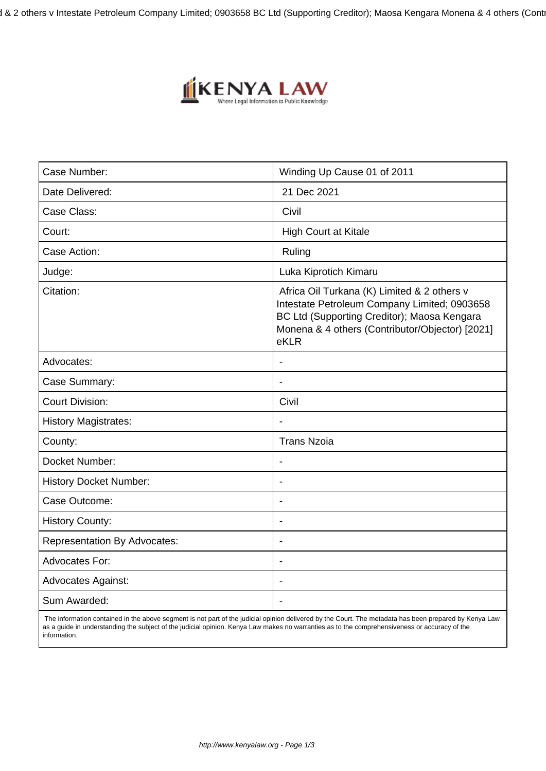1 & 2 others v Intestate Petroleum Company Limited; 0903658 BC Ltd (Supporting Creditor); Maosa Kengara Monena & 4 others (Cont



| Case Number:                        | Winding Up Cause 01 of 2011                                                                                                                                                                           |
|-------------------------------------|-------------------------------------------------------------------------------------------------------------------------------------------------------------------------------------------------------|
| Date Delivered:                     | 21 Dec 2021                                                                                                                                                                                           |
| Case Class:                         | Civil                                                                                                                                                                                                 |
| Court:                              | <b>High Court at Kitale</b>                                                                                                                                                                           |
| Case Action:                        | Ruling                                                                                                                                                                                                |
| Judge:                              | Luka Kiprotich Kimaru                                                                                                                                                                                 |
| Citation:                           | Africa Oil Turkana (K) Limited & 2 others v<br>Intestate Petroleum Company Limited; 0903658<br>BC Ltd (Supporting Creditor); Maosa Kengara<br>Monena & 4 others (Contributor/Objector) [2021]<br>eKLR |
| Advocates:                          |                                                                                                                                                                                                       |
| Case Summary:                       | $\blacksquare$                                                                                                                                                                                        |
| <b>Court Division:</b>              | Civil                                                                                                                                                                                                 |
| <b>History Magistrates:</b>         |                                                                                                                                                                                                       |
| County:                             | <b>Trans Nzoia</b>                                                                                                                                                                                    |
| Docket Number:                      |                                                                                                                                                                                                       |
| <b>History Docket Number:</b>       |                                                                                                                                                                                                       |
| Case Outcome:                       | $\overline{\phantom{a}}$                                                                                                                                                                              |
| <b>History County:</b>              | $\overline{\phantom{a}}$                                                                                                                                                                              |
| <b>Representation By Advocates:</b> | $\blacksquare$                                                                                                                                                                                        |
| <b>Advocates For:</b>               | $\overline{\phantom{a}}$                                                                                                                                                                              |
| <b>Advocates Against:</b>           |                                                                                                                                                                                                       |
| Sum Awarded:                        |                                                                                                                                                                                                       |

 The information contained in the above segment is not part of the judicial opinion delivered by the Court. The metadata has been prepared by Kenya Law as a guide in understanding the subject of the judicial opinion. Kenya Law makes no warranties as to the comprehensiveness or accuracy of the information.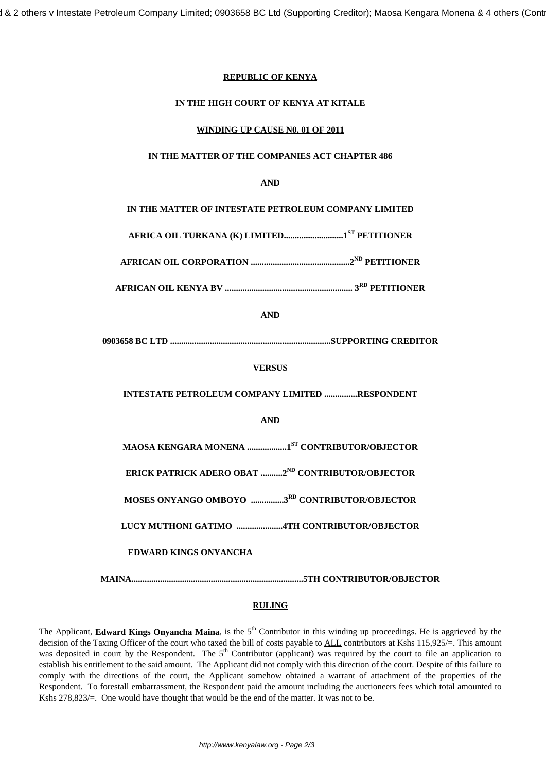# **REPUBLIC OF KENYA**

## **IN THE HIGH COURT OF KENYA AT KITALE**

## **WINDING UP CAUSE N0. 01 OF 2011**

# **IN THE MATTER OF THE COMPANIES ACT CHAPTER 486**

# **AND**

**IN THE MATTER OF INTESTATE PETROLEUM COMPANY LIMITED**

**AFRICA OIL TURKANA (K) LIMITED...........................1ST PETITIONER**

**AFRICAN OIL CORPORATION .............................................2ND PETITIONER**

**AFRICAN OIL KENYA BV .......................................................... 3RD PETITIONER**

**AND**

**0903658 BC LTD .........................................................................SUPPORTING CREDITOR**

**VERSUS**

**INTESTATE PETROLEUM COMPANY LIMITED ...............RESPONDENT**

## **AND**

**MAOSA KENGARA MONENA ..................1ST CONTRIBUTOR/OBJECTOR**

**ERICK PATRICK ADERO OBAT ..........2ND CONTRIBUTOR/OBJECTOR**

**MOSES ONYANGO OMBOYO ...............3RD CONTRIBUTOR/OBJECTOR**

**LUCY MUTHONI GATIMO .....................4TH CONTRIBUTOR/OBJECTOR**

# **EDWARD KINGS ONYANCHA**

**MAINA..............................................................................5TH CONTRIBUTOR/OBJECTOR**

## **RULING**

The Applicant, **Edward Kings Onyancha Maina**, is the  $5<sup>th</sup>$  Contributor in this winding up proceedings. He is aggrieved by the decision of the Taxing Officer of the court who taxed the bill of costs payable to ALL contributors at Kshs 115,925/=. This amount was deposited in court by the Respondent. The  $5<sup>th</sup>$  Contributor (applicant) was required by the court to file an application to establish his entitlement to the said amount. The Applicant did not comply with this direction of the court. Despite of this failure to comply with the directions of the court, the Applicant somehow obtained a warrant of attachment of the properties of the Respondent. To forestall embarrassment, the Respondent paid the amount including the auctioneers fees which total amounted to Kshs 278,823/=. One would have thought that would be the end of the matter. It was not to be.